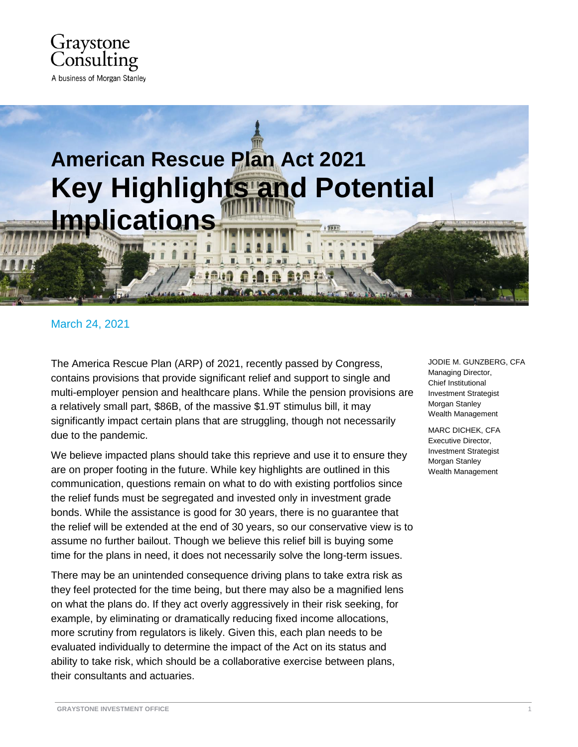

# **American Rescue Plan Act 2021 Key Highlights and Potential Implications**

## March 24, 2021

The America Rescue Plan (ARP) of 2021, recently passed by Congress, contains provisions that provide significant relief and support to single and multi-employer pension and healthcare plans. While the pension provisions are a relatively small part, \$86B, of the massive \$1.9T stimulus bill, it may significantly impact certain plans that are struggling, though not necessarily due to the pandemic.

We believe impacted plans should take this reprieve and use it to ensure they are on proper footing in the future. While key highlights are outlined in this communication, questions remain on what to do with existing portfolios since the relief funds must be segregated and invested only in investment grade bonds. While the assistance is good for 30 years, there is no guarantee that the relief will be extended at the end of 30 years, so our conservative view is to assume no further bailout. Though we believe this relief bill is buying some time for the plans in need, it does not necessarily solve the long-term issues.

There may be an unintended consequence driving plans to take extra risk as they feel protected for the time being, but there may also be a magnified lens on what the plans do. If they act overly aggressively in their risk seeking, for example, by eliminating or dramatically reducing fixed income allocations, more scrutiny from regulators is likely. Given this, each plan needs to be evaluated individually to determine the impact of the Act on its status and ability to take risk, which should be a collaborative exercise between plans, their consultants and actuaries.

JODIE M. GUNZBERG, CFA Managing Director, Chief Institutional Investment Strategist Morgan Stanley Wealth Management

MARC DICHEK, CFA Executive Director, Investment Strategist Morgan Stanley Wealth Management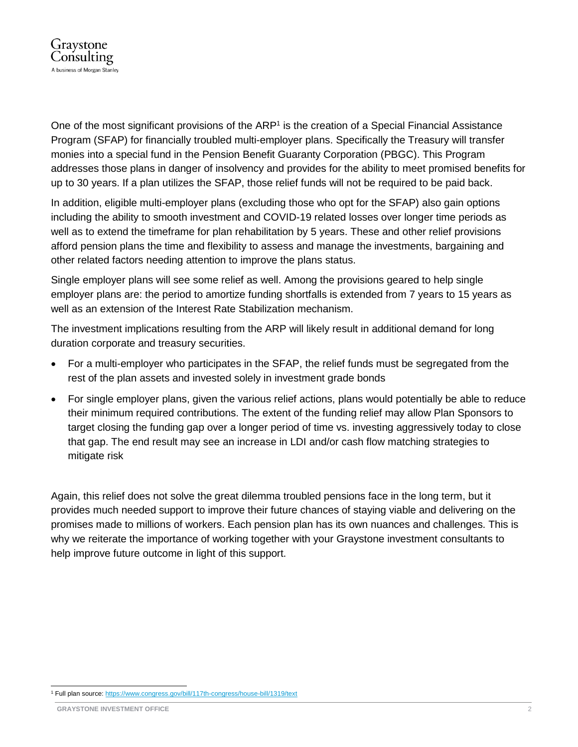

One of the most significant provisions of the ARP<sup>1</sup> is the creation of a Special Financial Assistance Program (SFAP) for financially troubled multi-employer plans. Specifically the Treasury will transfer monies into a special fund in the Pension Benefit Guaranty Corporation (PBGC). This Program addresses those plans in danger of insolvency and provides for the ability to meet promised benefits for up to 30 years. If a plan utilizes the SFAP, those relief funds will not be required to be paid back.

In addition, eligible multi-employer plans (excluding those who opt for the SFAP) also gain options including the ability to smooth investment and COVID-19 related losses over longer time periods as well as to extend the timeframe for plan rehabilitation by 5 years. These and other relief provisions afford pension plans the time and flexibility to assess and manage the investments, bargaining and other related factors needing attention to improve the plans status.

Single employer plans will see some relief as well. Among the provisions geared to help single employer plans are: the period to amortize funding shortfalls is extended from 7 years to 15 years as well as an extension of the Interest Rate Stabilization mechanism.

The investment implications resulting from the ARP will likely result in additional demand for long duration corporate and treasury securities.

- For a multi-employer who participates in the SFAP, the relief funds must be segregated from the rest of the plan assets and invested solely in investment grade bonds
- For single employer plans, given the various relief actions, plans would potentially be able to reduce their minimum required contributions. The extent of the funding relief may allow Plan Sponsors to target closing the funding gap over a longer period of time vs. investing aggressively today to close that gap. The end result may see an increase in LDI and/or cash flow matching strategies to mitigate risk

Again, this relief does not solve the great dilemma troubled pensions face in the long term, but it provides much needed support to improve their future chances of staying viable and delivering on the promises made to millions of workers. Each pension plan has its own nuances and challenges. This is why we reiterate the importance of working together with your Graystone investment consultants to help improve future outcome in light of this support.

l <sup>1</sup> Full plan source: <https://www.congress.gov/bill/117th-congress/house-bill/1319/text>